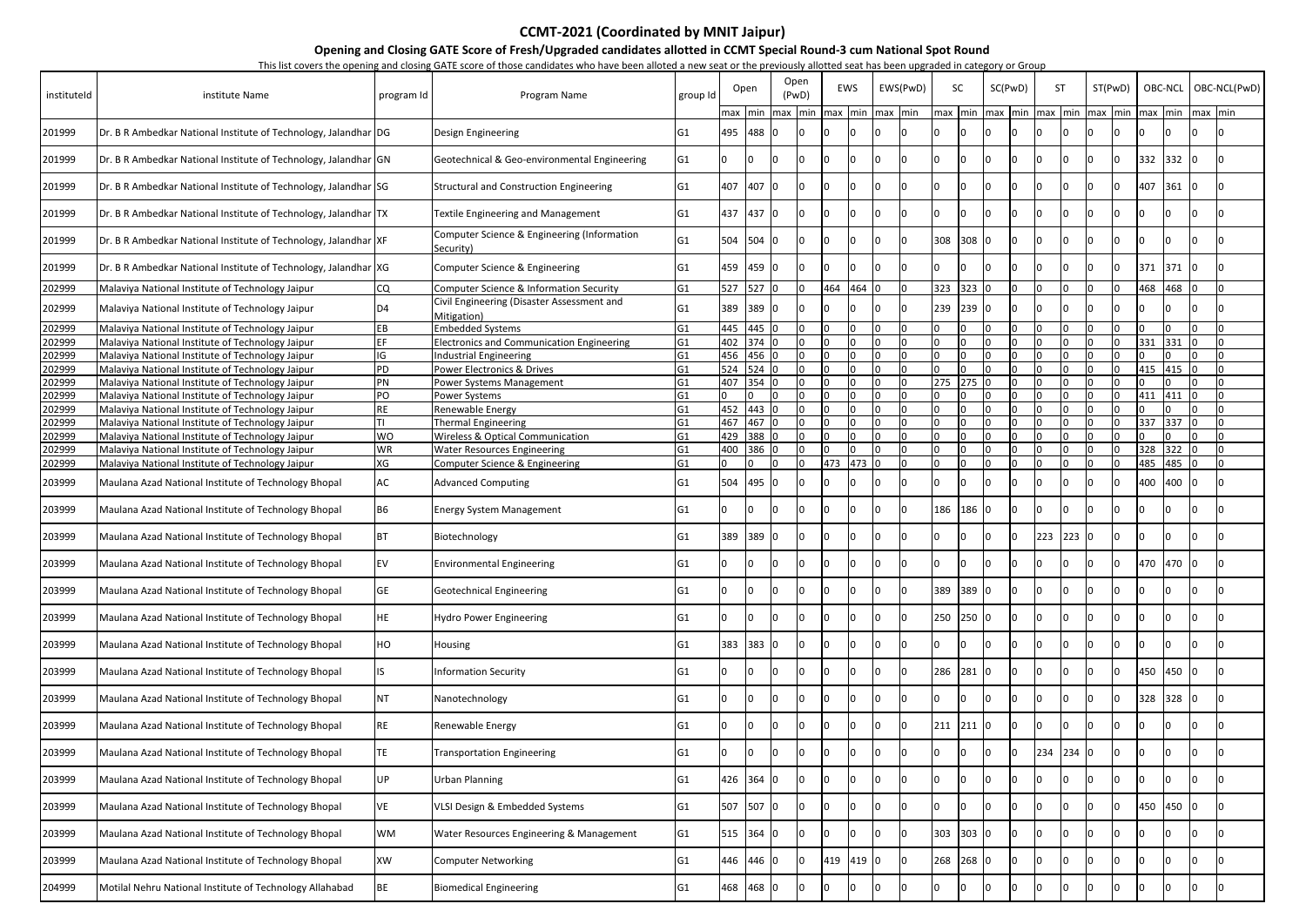**Opening and Closing GATE Score of Fresh/Upgraded candidates allotted in CCMT Special Round-3 cum National Spot Round** This list covers the opening and closing GATE score of those candidates who have been alloted a new seat or the previously allotted seat has been upgraded in category or Group

|             |                                                                   |            | This ist covers the opening and closing OATE score of those candidates who have been alloted a hew seat of the previously allotted seat has been upgraded in category or Group |                |         |           |               |             |       |             |          |                 |       |         |     |           |                 |         |         |                 |              |
|-------------|-------------------------------------------------------------------|------------|--------------------------------------------------------------------------------------------------------------------------------------------------------------------------------|----------------|---------|-----------|---------------|-------------|-------|-------------|----------|-----------------|-------|---------|-----|-----------|-----------------|---------|---------|-----------------|--------------|
| instituteld | institute Name                                                    | program Id | Program Name                                                                                                                                                                   | group Id       |         | Open      | Open<br>(PwD) | EWS         |       |             | EWS(PwD) | SC              |       | SC(PwD) |     | <b>ST</b> | ST(PwD)         | OBC-NCL |         |                 | OBC-NCL(PwD) |
|             |                                                                   |            |                                                                                                                                                                                |                |         | max min   |               | max min max |       | min max min |          | max min max min |       |         |     |           | max min max min | max     | min     | $max$ min       |              |
| 201999      | Dr. B R Ambedkar National Institute of Technology, Jalandhar DG   |            | Design Engineering                                                                                                                                                             | G1             |         | 495 488 0 |               |             |       |             |          |                 |       |         |     |           |                 |         |         |                 |              |
| 201999      | Dr. B R Ambedkar National Institute of Technology, Jalandhar GN   |            | Geotechnical & Geo-environmental Engineering                                                                                                                                   | G1             |         |           |               |             |       |             |          |                 | 0     |         |     |           |                 | 332     | 332   0 |                 |              |
| 201999      | Dr. B R Ambedkar National Institute of Technology, Jalandhar SG   |            | <b>Structural and Construction Engineering</b>                                                                                                                                 | G1             | 407 407 |           |               |             |       |             |          |                 |       |         |     |           |                 | 407     | 361     | 10              |              |
| 201999      | Dr. B R Ambedkar National Institute of Technology, Jalandhar   TX |            | Textile Engineering and Management                                                                                                                                             | G <sub>1</sub> | 437 437 |           |               |             |       |             |          |                 |       |         |     |           |                 |         |         |                 |              |
| 201999      | Dr. B R Ambedkar National Institute of Technology, Jalandhar XF   |            | Computer Science & Engineering (Information<br>Security)                                                                                                                       | G1             | 504     | 504       |               |             |       |             |          | 308             | 308   |         |     |           |                 |         |         |                 |              |
| 201999      | Dr. B R Ambedkar National Institute of Technology, Jalandhar XG   |            | Computer Science & Engineering                                                                                                                                                 | G1             |         | 459 459 0 |               |             |       |             |          |                 |       |         |     |           |                 | 371     | 371     | 10              |              |
| 202999      | Malaviya National Institute of Technology Jaipur                  | CQ.        | Computer Science & Information Security                                                                                                                                        | G1             |         | 527 527 0 |               | 464         | 464 0 |             |          | 323 323 0       |       |         |     |           |                 | 468     | 468     |                 |              |
| 202999      | Malaviya National Institute of Technology Jaipur                  | D4         | Civil Engineering (Disaster Assessment and<br>Mitigation)                                                                                                                      | G1             | 389     | 389       |               |             |       |             |          | 239             | 239   |         |     |           |                 |         |         |                 |              |
| 202999      | Malaviya National Institute of Technology Jaipur                  | EВ         | <b>Embedded Systems</b>                                                                                                                                                        | G <sub>1</sub> |         | 445 445 0 | I۵            |             |       |             |          |                 |       |         |     |           |                 |         |         |                 |              |
| 202999      | Malaviya National Institute of Technology Jaipur                  | EF         | <b>Electronics and Communication Engineering</b>                                                                                                                               | G1             |         | 402 374 0 | In.           |             |       |             |          |                 |       |         |     |           |                 | 331     | 331     | I0              |              |
| 202999      | Malaviya National Institute of Technology Jaipur                  | IG         | Industrial Engineering                                                                                                                                                         | G <sub>1</sub> |         | 456 456 0 | n             |             |       |             |          |                 |       |         |     |           |                 |         |         |                 |              |
| 202999      | Malaviya National Institute of Technology Jaipur                  | PD         | Power Electronics & Drives                                                                                                                                                     | G <sub>1</sub> |         | 524 524 0 | I۵            |             |       |             |          |                 |       |         |     |           |                 | 415     | 415     | -10             |              |
| 202999      | Malaviya National Institute of Technology Jaipur                  | PN         | Power Systems Management                                                                                                                                                       | G <sub>1</sub> |         | 407 354 0 | $\Omega$      |             |       |             |          | 275 275         |       |         |     |           |                 |         |         | I∩              |              |
| 202999      | Malaviya National Institute of Technology Jaipur                  | PO         | Power Systems                                                                                                                                                                  | G <sub>1</sub> |         |           | $\Omega$      |             |       |             |          |                 |       |         |     |           |                 | 411     | 411     | I∩              |              |
| 202999      | Malaviya National Institute of Technology Jaipur                  | RE.        | Renewable Energy                                                                                                                                                               | G <sub>1</sub> | 452 443 |           | $\Omega$      |             |       |             |          |                 |       |         |     |           |                 |         |         |                 |              |
| 202999      | Malaviya National Institute of Technology Jaipur                  |            | <b>Thermal Engineering</b>                                                                                                                                                     | G <sub>1</sub> |         | 467 467 0 | <b>O</b>      |             |       |             |          |                 |       |         |     |           |                 | 337     | 337     |                 |              |
| 202999      | Malaviya National Institute of Technology Jaipur                  | WO         | <b>Wireless &amp; Optical Communication</b>                                                                                                                                    | G <sub>1</sub> | 429     | 388 0     | <sup>0</sup>  |             |       |             |          |                 |       |         |     |           |                 |         |         |                 |              |
| 202999      | Malaviya National Institute of Technology Jaipur                  | WR         | <b>Water Resources Engineering</b>                                                                                                                                             | G <sub>1</sub> | 400     | 386       | n             |             |       |             |          |                 |       |         |     |           |                 | 328     | 322     |                 |              |
| 202999      | Malaviya National Institute of Technology Jaipur                  | XG         | Computer Science & Engineering                                                                                                                                                 | G <sub>1</sub> |         | n         | n             | 473         | 473   |             |          |                 |       |         |     |           |                 | 485     | 485     |                 |              |
| 203999      | Maulana Azad National Institute of Technology Bhopal              | AC         | <b>Advanced Computing</b>                                                                                                                                                      | G1             | 504 495 |           |               |             |       |             |          |                 |       |         |     |           |                 | 400     | 400     | -10             |              |
| 203999      | Maulana Azad National Institute of Technology Bhopal              | B6         | <b>Energy System Management</b>                                                                                                                                                | G1             |         |           |               |             |       |             |          | 186             | 186   |         |     |           |                 |         |         |                 |              |
| 203999      | Maulana Azad National Institute of Technology Bhopal              |            | Biotechnology                                                                                                                                                                  | G1             | 389 389 |           |               |             |       |             |          |                 |       |         | 223 | 223       |                 |         |         |                 |              |
| 203999      | Maulana Azad National Institute of Technology Bhopal              | EV         | <b>Environmental Engineering</b>                                                                                                                                               | G1             |         |           |               |             |       |             |          |                 |       |         |     |           |                 | 470 470 |         | $\vert 0 \vert$ |              |
| 203999      | Maulana Azad National Institute of Technology Bhopal              | GЕ         | <b>Geotechnical Engineering</b>                                                                                                                                                | G1             |         |           |               |             |       |             |          | 389             | 389   |         |     |           |                 |         |         |                 |              |
| 203999      | Maulana Azad National Institute of Technology Bhopal              | HE         | <b>Hydro Power Engineering</b>                                                                                                                                                 | G1             |         |           |               |             |       |             |          | 250             | 250   |         |     |           |                 |         |         |                 |              |
| 203999      | Maulana Azad National Institute of Technology Bhopal              | HO         | Housing                                                                                                                                                                        | G1             | 383 383 |           | ın            |             |       |             |          |                 |       |         |     |           |                 |         |         |                 |              |
| 203999      | Maulana Azad National Institute of Technology Bhopal              |            | <b>Information Security</b>                                                                                                                                                    | G1             |         |           |               |             |       |             | ın       | 286             | 281   |         |     |           |                 | 450     | 450     | -10             |              |
| 203999      | Maulana Azad National Institute of Technology Bhopal              | NT         | Nanotechnology                                                                                                                                                                 | G1             |         |           |               |             |       |             |          |                 |       |         |     |           |                 | 328     | 328     | - 10            |              |
| 203999      | Maulana Azad National Institute of Technology Bhopal              | RE         | Renewable Energy                                                                                                                                                               | G1             |         |           |               |             |       |             |          | 211             | 211   |         |     |           |                 |         |         |                 |              |
| 203999      | Maulana Azad National Institute of Technology Bhopal              | ΓE.        | <b>Transportation Engineering</b>                                                                                                                                              | G1             |         |           |               |             |       |             |          |                 |       |         | 234 | 234       |                 |         |         |                 |              |
| 203999      | Maulana Azad National Institute of Technology Bhopal              | UP         | Urban Planning                                                                                                                                                                 | G <sub>1</sub> | 426 364 |           |               |             |       |             |          |                 |       |         |     |           |                 |         |         |                 |              |
| 203999      | Maulana Azad National Institute of Technology Bhopal              | VE         | VLSI Design & Embedded Systems                                                                                                                                                 | G <sub>1</sub> | 507     | 507       |               |             |       |             |          |                 |       |         |     |           |                 | 450     | 450     | 10              |              |
| 203999      | Maulana Azad National Institute of Technology Bhopal              | <b>WM</b>  | Water Resources Engineering & Management                                                                                                                                       | G1             | 515 364 |           |               |             |       |             |          | 303             | 303 0 |         |     |           |                 |         |         |                 |              |
| 203999      | Maulana Azad National Institute of Technology Bhopal              | XW         | <b>Computer Networking</b>                                                                                                                                                     | G1             |         | 446 446 0 |               | 419         | 419 0 |             |          | 268             | 268   |         |     |           |                 |         |         |                 |              |
| 204999      | Motilal Nehru National Institute of Technology Allahabad          | ВE         | <b>Biomedical Engineering</b>                                                                                                                                                  | G <sub>1</sub> | 468 468 |           |               |             |       |             |          |                 |       |         |     |           |                 |         |         |                 |              |

## **CCMT-2021 (Coordinated by MNIT Jaipur)**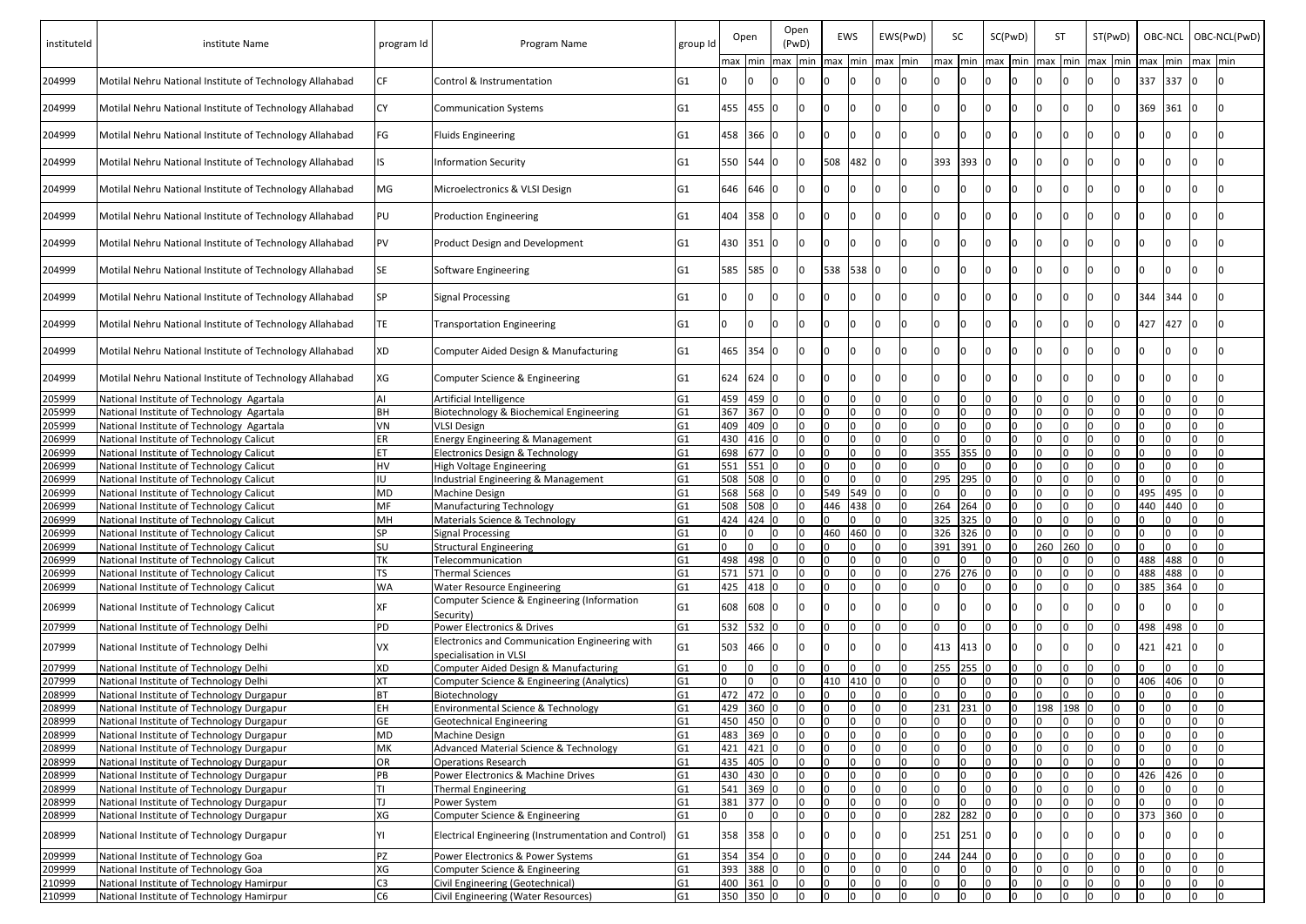| instituteld | institute Name                                           | program Id     | Program Name                                                             | group Id        |     | Open      |     | Open<br>(PwD)  |     | EWS   |             | EWS(PwD) | SC        |     | SC(PwD)   | <b>ST</b> |     | ST(PwD)     |      | OBC-NCL |         | OBC-NCL(PwD) |
|-------------|----------------------------------------------------------|----------------|--------------------------------------------------------------------------|-----------------|-----|-----------|-----|----------------|-----|-------|-------------|----------|-----------|-----|-----------|-----------|-----|-------------|------|---------|---------|--------------|
|             |                                                          |                |                                                                          |                 |     | max min   | max | Imin           | max |       | min max min |          | max min   |     | $max$ min | max       |     | min max min | lmax | min     | max min |              |
| 204999      | Motilal Nehru National Institute of Technology Allahabad | CF             | Control & Instrumentation                                                | IG1             |     |           |     |                |     |       |             |          |           |     |           |           |     |             | 337  | 337     | n       |              |
| 204999      | Motilal Nehru National Institute of Technology Allahabad | CY             | <b>Communication Systems</b>                                             | IG1             |     | 455 455   |     |                |     |       |             |          |           |     |           |           |     |             | 369  | 361     |         |              |
| 204999      | Motilal Nehru National Institute of Technology Allahabad | FG             | <b>Fluids Engineering</b>                                                | G <sub>1</sub>  |     | 458 366 0 |     |                |     |       |             |          |           |     |           |           |     |             |      |         |         |              |
| 204999      | Motilal Nehru National Institute of Technology Allahabad |                | <b>Information Security</b>                                              | IG1             | 550 | 544       |     |                | 508 | 482 0 |             |          | 393       | 393 |           |           |     |             |      |         |         |              |
| 204999      | Motilal Nehru National Institute of Technology Allahabad | MG             | Microelectronics & VLSI Design                                           | IG1             |     | 646 646 0 |     |                |     |       |             |          |           |     |           |           |     |             |      |         |         |              |
| 204999      | Motilal Nehru National Institute of Technology Allahabad | PU             | <b>Production Engineering</b>                                            | IG1             | 404 | 358       |     |                |     |       |             |          |           |     |           |           |     |             |      |         |         |              |
| 204999      | Motilal Nehru National Institute of Technology Allahabad | PV             | <b>Product Design and Development</b>                                    | lG1             | 430 | 351       |     |                |     |       |             |          |           |     |           |           |     |             |      |         |         |              |
| 204999      | Motilal Nehru National Institute of Technology Allahabad | SE             | Software Engineering                                                     | G1              | 585 | 585       |     |                | 538 | 538   | ΙO          |          |           |     |           |           |     |             |      |         |         |              |
| 204999      | Motilal Nehru National Institute of Technology Allahabad | SP             | <b>Signal Processing</b>                                                 | lG1             |     |           |     |                |     |       |             |          |           |     |           |           |     |             | 344  | 344     |         |              |
| 204999      | Motilal Nehru National Institute of Technology Allahabad | TE             | <b>Transportation Engineering</b>                                        | lG1             |     |           |     |                |     |       |             |          |           |     |           |           |     |             | 427  | 427     |         |              |
| 204999      | Motilal Nehru National Institute of Technology Allahabad | XD             | Computer Aided Design & Manufacturing                                    | G <sub>1</sub>  | 465 | 354       |     |                |     |       |             |          |           |     |           |           |     |             |      |         |         |              |
| 204999      | Motilal Nehru National Institute of Technology Allahabad | XG             | Computer Science & Engineering                                           | G <sub>1</sub>  |     | 624 624   |     |                |     |       |             |          |           |     |           |           |     |             |      |         |         |              |
| 205999      | National Institute of Technology Agartala                |                | Artificial Intelligence                                                  | G <sub>1</sub>  | 459 | 459 0     |     | l0.            |     |       |             |          |           |     |           |           |     |             |      |         |         |              |
| 205999      | National Institute of Technology Agartala                | ЗH             | Biotechnology & Biochemical Engineering                                  | G <sub>1</sub>  | 367 | 367 0     |     | l <sub>0</sub> |     |       |             |          |           |     |           |           |     |             |      |         |         |              |
| 205999      | National Institute of Technology Agartala                | /N             | <b>VLSI Design</b>                                                       | G <sub>1</sub>  | 409 | 409 0     |     | $\Omega$       |     |       |             |          |           |     |           |           |     |             |      |         |         |              |
| 206999      | National Institute of Technology Calicut                 | ER             | <b>Energy Engineering &amp; Management</b>                               | G <sub>1</sub>  |     | 430 416 0 |     | I0.            |     |       |             |          |           |     |           |           |     |             |      |         |         |              |
| 206999      | National Institute of Technology Calicut                 |                | <b>Electronics Design &amp; Technology</b>                               | G <sub>1</sub>  |     | 698 677 0 |     | <b>0</b>       |     |       |             |          | 355       | 355 |           |           |     |             |      |         |         |              |
| 206999      | National Institute of Technology Calicut                 | H٧             | High Voltage Engineering                                                 | G <sub>1</sub>  | 551 | 551 0     |     | <sup>0</sup>   |     |       |             |          |           |     |           |           |     |             |      |         |         |              |
| 206999      | National Institute of Technology Calicut                 | U              | Industrial Engineering & Management                                      | G <sub>1</sub>  | 508 | 508 0     |     | l N            |     |       |             |          | 295       | 295 |           |           |     |             |      |         |         |              |
| 206999      | National Institute of Technology Calicut                 | МD             | Machine Design                                                           | G <sub>1</sub>  | 568 | 568 0     |     | I0.            | 549 | 549   |             |          |           |     |           |           |     |             | 495  | 495     |         |              |
| 206999      | National Institute of Technology Calicut                 | МF             | <b>Manufacturing Technology</b>                                          | G <sub>1</sub>  | 508 | 508 0     |     | I٥             | 446 | 438 0 |             | In.      | 264       | 264 |           |           |     |             | 440  | 440     | m       |              |
| 206999      | National Institute of Technology Calicut                 | MН             | Materials Science & Technology                                           | G <sub>1</sub>  |     | 424 424 0 |     | In.            |     |       |             |          | 325 325 0 |     |           |           |     |             |      |         |         |              |
| 206999      | National Institute of Technology Calicut                 | SP             | <b>Signal Processing</b>                                                 | G <sub>1</sub>  |     | In        |     | $\cap$         | 460 | 460   |             |          | 326 326 0 |     |           |           |     |             |      |         |         |              |
| 206999      | National Institute of Technology Calicut                 | SU             | <b>Structural Engineering</b>                                            | G <sub>1</sub>  |     |           |     |                |     |       |             |          | 391       | 391 |           | 260       | 260 |             |      |         |         |              |
| 206999      | National Institute of Technology Calicut                 | TK             | Telecommunication                                                        | G <sub>1</sub>  |     | 498 498   |     |                |     |       |             |          |           |     |           |           |     |             | 488  | 488     | l0.     |              |
| 206999      | National Institute of Technology Calicut                 | TS             | <b>Thermal Sciences</b>                                                  | G <sub>1</sub>  |     | 571 571 0 |     |                |     |       |             |          | 276       | 276 |           |           |     |             | 488  | 488     | l0.     |              |
| 206999      | National Institute of Technology Calicut                 | WA             | <b>Water Resource Engineering</b>                                        | G <sub>1</sub>  |     | 425 418 0 |     |                |     |       |             |          |           |     |           |           |     |             | 385  | 364     | In.     |              |
| 206999      | National Institute of Technology Calicut                 | ΚF             | Computer Science & Engineering (Information<br>Security)                 | G <sub>1</sub>  | 608 | 608 0     |     |                |     |       |             |          |           |     |           |           |     |             |      |         |         |              |
| 207999      | National Institute of Technology Delhi                   | PD             | <b>Power Electronics &amp; Drives</b>                                    | G <sub>1</sub>  |     | 532 532 0 |     |                |     |       |             |          |           |     |           |           |     |             | 498  | 498     |         |              |
| 207999      | National Institute of Technology Delhi                   | VX.            | Electronics and Communication Engineering with<br>specialisation in VLSI | G <sub>1</sub>  |     | 503 466 0 |     |                |     |       |             |          | 413 413   |     |           |           |     |             | 421  | 421     |         |              |
| 207999      | National Institute of Technology Delhi                   | XD             | Computer Aided Design & Manufacturing                                    | G <sub>1</sub>  |     |           |     |                |     |       |             |          | 255 255 0 |     |           |           |     |             |      |         |         |              |
| 207999      | National Institute of Technology Delhi                   | <b>XT</b>      | Computer Science & Engineering (Analytics)                               | G <sub>1</sub>  |     |           |     |                | 410 | 410   |             |          |           |     |           |           |     |             | 406  | 406     |         |              |
| 208999      | National Institute of Technology Durgapur                | RT             | Biotechnology                                                            | G <sub>1</sub>  |     | 472 472 0 |     |                |     |       |             |          |           |     |           |           |     |             |      |         |         |              |
| 208999      | National Institute of Technology Durgapur                | ΕH             | Environmental Science & Technology                                       | G <sub>1</sub>  |     | 429 360 0 |     | n              |     |       |             |          | 231       | 231 |           | 198       | 198 |             |      |         |         |              |
| 208999      | National Institute of Technology Durgapur                | GE.            | <b>Geotechnical Engineering</b>                                          | G <sub>1</sub>  | 450 | 450 0     |     | l N            |     |       |             |          |           |     |           |           |     |             |      |         |         |              |
| 208999      | National Institute of Technology Durgapur                | ИD             | Machine Design                                                           | G <sub>1</sub>  | 483 | 369 0     |     | <sup>n</sup>   |     |       |             |          |           |     |           |           |     |             |      |         |         |              |
| 208999      | National Institute of Technology Durgapur                | МK             | Advanced Material Science & Technology                                   | G <sub>1</sub>  | 421 | 421 0     |     | 0              |     |       |             |          |           |     |           |           |     |             |      |         |         |              |
| 208999      | National Institute of Technology Durgapur                | ЭR             | <b>Operations Research</b>                                               | G <sub>1</sub>  | 435 | 405 0     |     | <sup>0</sup>   |     |       |             |          |           |     |           |           |     |             |      |         |         |              |
| 208999      | National Institute of Technology Durgapur                | ٥B.            | Power Electronics & Machine Drives                                       | G <sub>1</sub>  | 430 | 430 0     |     |                |     |       |             |          |           |     |           |           |     |             | 426  | 426     |         |              |
| 208999      | National Institute of Technology Durgapur                |                | <b>Thermal Engineering</b>                                               | G <sub>1</sub>  | 541 | 369       |     |                |     |       |             |          |           |     |           |           |     |             |      |         |         |              |
| 208999      | National Institute of Technology Durgapur                |                | Power System                                                             | G <sub>1</sub>  |     | 381 377 0 |     |                |     |       |             |          |           |     |           |           |     |             |      |         |         |              |
| 208999      | National Institute of Technology Durgapur                | XG             | Computer Science & Engineering                                           | G <sub>1</sub>  |     | n         |     |                |     |       |             |          | 282 282   |     |           |           |     |             | 373  | 360     |         |              |
| 208999      | National Institute of Technology Durgapur                |                | Electrical Engineering (Instrumentation and Control)                     | IG <sub>1</sub> |     | 358 358   |     |                |     |       |             |          | 251 251   |     |           |           |     |             |      |         |         |              |
| 209999      | National Institute of Technology Goa                     | <b>PZ</b>      | Power Electronics & Power Systems                                        | G <sub>1</sub>  |     | 354 354 0 |     |                |     |       |             |          | 244 244 0 |     |           |           |     |             |      |         |         |              |
| 209999      | National Institute of Technology Goa                     | XG             | Computer Science & Engineering                                           | G <sub>1</sub>  |     | 393 388 0 |     |                |     |       |             |          |           |     |           |           |     |             |      |         |         |              |
| 210999      | National Institute of Technology Hamirpur                | -3             | Civil Engineering (Geotechnical)                                         | G <sub>1</sub>  | 400 | 361 0     |     | 0              |     |       |             |          |           |     |           |           |     |             |      |         |         | I٥           |
| 210999      | National Institute of Technology Hamirpur                | C <sub>6</sub> | Civil Engineering (Water Resources)                                      | G <sub>1</sub>  |     | 350 350 0 |     | $\Omega$       |     |       |             |          |           |     |           |           |     |             |      |         |         | I∩           |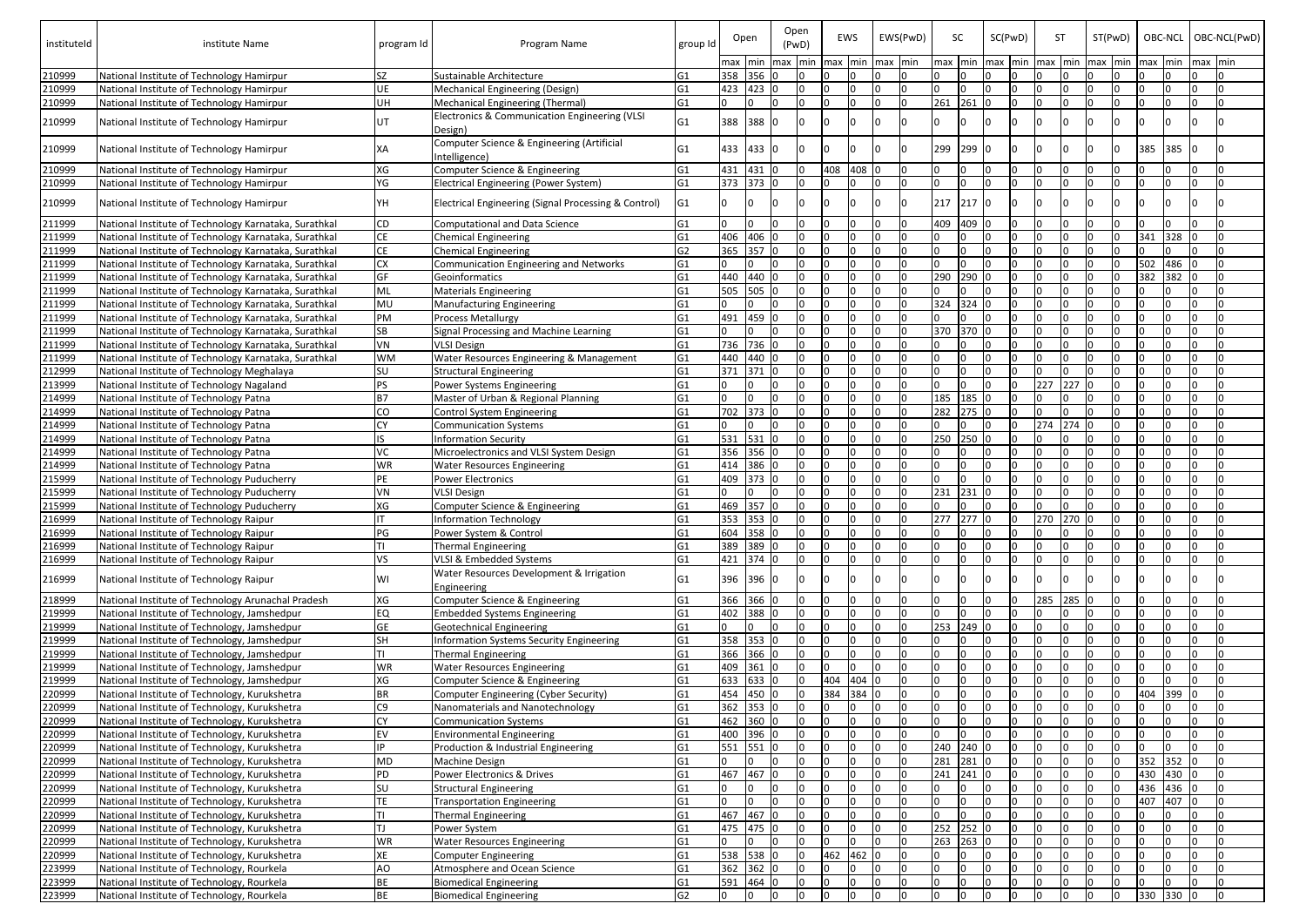| instituteld      | institute Name                                                                         | program Id     | Program Name                                                                                 | group Id                         |           | Open    | Open | (PwD) |                  | EWS  |     | EWS(PwD) | SC        |         |     | SC(PwD) | <b>ST</b> |       | ST(PwD) |              | OBC-NCL      |         |         | OBC-NCL(PwD) |
|------------------|----------------------------------------------------------------------------------------|----------------|----------------------------------------------------------------------------------------------|----------------------------------|-----------|---------|------|-------|------------------|------|-----|----------|-----------|---------|-----|---------|-----------|-------|---------|--------------|--------------|---------|---------|--------------|
|                  |                                                                                        |                |                                                                                              |                                  | max min   |         | max  | min   | $\mathsf{Im}$ ax | Imin | max | min      | max min   |         | max | min     | max       |       | min max | <b>I</b> min | <b>I</b> max | min     | max min |              |
| 210999           | National Institute of Technology Hamirpur                                              | <b>SZ</b>      | Sustainable Architecture                                                                     | G <sub>1</sub>                   | 358 356 0 | 423 0   |      | l N   |                  |      |     | I∩       |           |         |     |         |           |       |         |              |              |         |         |              |
| 210999           | National Institute of Technology Hamirpur                                              | UE             | Mechanical Engineering (Design)                                                              | G <sub>1</sub>                   | 423       |         |      | l N   |                  |      |     | I∩       | n.<br>261 | 261     |     | n       | n         |       |         |              |              |         | n       |              |
| 210999<br>210999 | National Institute of Technology Hamirpur<br>National Institute of Technology Hamirpur | UH<br>lUT      | Mechanical Engineering (Thermal)<br>Electronics & Communication Engineering (VLSI<br>Design) | G <sub>1</sub><br>G <sub>1</sub> | 388       | 388 0   |      |       |                  |      |     |          |           |         |     |         |           |       |         |              |              |         |         |              |
| 210999           | National Institute of Technology Hamirpur                                              | IXA            | Computer Science & Engineering (Artificial<br>Intelligence)                                  | G1                               | 433       | 433 0   |      |       |                  |      |     |          | 299       | 299     |     |         |           |       |         |              | 385          | 385     |         |              |
| 210999           | National Institute of Technology Hamirpur                                              | XG             | Computer Science & Engineering                                                               | G <sub>1</sub>                   | 431       | 431 0   |      |       | 408              | 408  |     |          |           |         |     |         |           |       |         |              |              |         |         |              |
| 210999           | National Institute of Technology Hamirpur                                              | YG             | <b>Electrical Engineering (Power System)</b>                                                 | G <sub>1</sub>                   | 373       | 373 0   |      |       |                  |      |     |          |           |         |     |         |           |       |         |              |              |         |         |              |
| 210999           | National Institute of Technology Hamirpur                                              | lΥH            | Electrical Engineering (Signal Processing & Control)                                         | G <sub>1</sub>                   |           |         |      |       |                  |      |     |          | 217       | 217     |     |         |           |       |         |              |              |         |         |              |
| 211999           | National Institute of Technology Karnataka, Surathkal                                  | CD             | <b>Computational and Data Science</b>                                                        | G <sub>1</sub>                   |           |         |      |       |                  |      |     |          | 409       | 409     |     |         |           |       |         |              |              |         |         |              |
| 211999           | National Institute of Technology Karnataka, Surathkal                                  | <b>CE</b>      | <b>Chemical Engineering</b>                                                                  | G <sub>1</sub>                   | 406       | 406 0   |      |       |                  |      |     |          |           |         |     |         |           |       |         |              | 341          | 328     | I∩      |              |
| 211999           | National Institute of Technology Karnataka, Surathkal                                  | <b>CE</b>      | <b>Chemical Engineering</b>                                                                  | G2                               | 365       | 357     |      |       |                  |      |     |          |           |         |     |         |           |       |         |              |              |         |         |              |
| 211999           | National Institute of Technology Karnataka, Surathkal                                  | <b>CX</b>      | Communication Engineering and Networks                                                       | G <sub>1</sub>                   |           |         |      |       |                  |      |     |          |           |         |     |         |           |       |         |              | 502          | 486     |         |              |
| 211999           | National Institute of Technology Karnataka, Surathkal                                  | GF             | Geoinformatics                                                                               | G <sub>1</sub>                   | 440       | 440     |      |       |                  |      |     |          | 290       | 290     |     |         |           |       |         |              | 382          | 382     |         |              |
| 211999           | National Institute of Technology Karnataka, Surathkal                                  | ML             | <b>Materials Engineering</b>                                                                 | G <sub>1</sub>                   | 505       | 505 0   |      |       |                  |      |     |          |           |         |     |         |           |       |         |              |              |         |         |              |
| 211999           | National Institute of Technology Karnataka, Surathkal                                  | MU             | <b>Manufacturing Engineering</b>                                                             | G <sub>1</sub>                   |           |         |      |       |                  |      |     |          | 324       | 324     |     |         |           |       |         |              |              |         |         |              |
| 211999           | National Institute of Technology Karnataka, Surathkal                                  | PM             | <b>Process Metallurgy</b>                                                                    | G1                               | 491       | 459     |      |       |                  |      |     |          |           |         |     |         |           |       |         |              |              |         |         |              |
| 211999           | National Institute of Technology Karnataka, Surathkal                                  | <b>SB</b>      | Signal Processing and Machine Learning                                                       | G1                               |           |         |      |       |                  |      |     |          | 370       | 370     |     |         |           |       |         |              |              |         |         |              |
| 211999           | National Institute of Technology Karnataka, Surathkal                                  | VN             | <b>VLSI Design</b>                                                                           | G <sub>1</sub>                   | 736       | 736 0   |      |       |                  |      |     |          |           |         |     |         |           |       |         |              |              |         |         |              |
| 211999           | National Institute of Technology Karnataka, Surathkal                                  | <b>WM</b>      | Water Resources Engineering & Management                                                     | G <sub>1</sub>                   | 440       | 440 0   |      |       |                  |      |     |          |           |         |     |         |           |       |         |              |              |         |         |              |
| 212999           | National Institute of Technology Meghalaya                                             | SU             | <b>Structural Engineering</b>                                                                | G1                               | 371       | 371 0   |      |       |                  |      |     |          |           |         |     |         |           |       |         |              |              |         |         |              |
| 213999           | National Institute of Technology Nagaland                                              | <b>PS</b>      | Power Systems Engineering                                                                    | G <sub>1</sub>                   |           |         |      |       |                  |      |     |          |           |         |     |         | 227       | 227   |         |              |              |         |         |              |
| 214999           | National Institute of Technology Patna                                                 | B7             | Master of Urban & Regional Planning                                                          | G <sub>1</sub>                   |           |         |      |       |                  |      |     |          | 185       | 185     |     |         |           |       |         |              |              |         |         |              |
| 214999           | National Institute of Technology Patna                                                 | <b>CO</b>      | Control System Engineering                                                                   | G <sub>1</sub>                   | 702       | 373     |      | n     |                  |      |     |          | 282       | $275$ 0 |     |         |           |       |         |              |              |         |         |              |
| 214999           | National Institute of Technology Patna                                                 | CY             | <b>Communication Systems</b>                                                                 | G <sub>1</sub>                   |           |         |      | l N   |                  |      |     |          |           |         |     | n       | 274       | 274   |         |              |              |         |         |              |
| 214999           | National Institute of Technology Patna                                                 |                | <b>Information Security</b>                                                                  | G <sub>1</sub>                   | 531       | 531     |      | l N   |                  |      |     |          | 250       | 250     |     |         |           |       |         |              |              |         |         |              |
| 214999           | National Institute of Technology Patna                                                 | ИC             | Microelectronics and VLSI System Design                                                      | G <sub>1</sub>                   | 356       | 356     |      | l n   |                  |      |     |          |           |         |     |         |           |       |         |              |              |         |         |              |
| 214999           | National Institute of Technology Patna                                                 | <b>WR</b>      | <b>Water Resources Engineering</b>                                                           | G <sub>1</sub>                   | 414       | 386 0   |      |       |                  |      |     |          |           |         |     |         |           |       |         |              |              |         |         |              |
| 215999           | National Institute of Technology Puducherry                                            | PE             | <b>Power Electronics</b>                                                                     | G <sub>1</sub>                   | 409       | 373     |      |       |                  |      |     |          |           |         |     |         |           |       |         |              |              |         |         |              |
| 215999           | National Institute of Technology Puducherry                                            | VN             | <b>VLSI Design</b>                                                                           | G <sub>1</sub>                   |           |         |      |       |                  |      |     |          | 231       | 231     |     |         |           |       |         |              |              |         |         |              |
| 215999           | National Institute of Technology Puducherry                                            | lxg            | Computer Science & Engineering                                                               | G <sub>1</sub>                   | 469       | 357     | 10   |       |                  |      |     |          |           |         |     | n       | n         |       |         |              |              |         |         |              |
| 216999           | National Institute of Technology Raipur                                                |                | <b>Information Technology</b>                                                                | G <sub>1</sub>                   | 353       | 353 0   |      | l N   |                  |      |     |          | 277       | $277$ 0 |     |         | 270       | 270 0 |         |              |              |         |         |              |
| 216999           | National Institute of Technology Raipur                                                | PG             | Power System & Control                                                                       | G <sub>1</sub>                   | 604       | 358 0   |      |       |                  |      |     |          |           |         |     |         |           |       |         |              |              |         |         |              |
| 216999           | National Institute of Technology Raipur                                                |                | <b>Thermal Engineering</b>                                                                   | G <sub>1</sub>                   | 389       | 389 0   |      |       |                  |      |     |          |           |         |     |         |           |       |         |              |              |         |         |              |
| 216999           | National Institute of Technology Raipur                                                | ٧S             | VLSI & Embedded Systems                                                                      | G <sub>1</sub>                   | 421 374 0 |         |      |       |                  |      |     |          |           |         |     |         |           |       |         |              |              |         |         |              |
| 216999           | National Institute of Technology Raipur                                                | WI             | <b>Water Resources Development &amp; Irrigation</b><br>Engineering                           | G <sub>1</sub>                   | 396       | 396 0   |      |       |                  |      |     |          |           |         |     |         |           |       |         |              |              |         |         |              |
| 218999           | National Institute of Technology Arunachal Pradesh                                     | XG             | Computer Science & Engineering                                                               | G <sub>1</sub>                   | 366       | 366 0   |      |       |                  |      |     |          |           |         |     |         | 285       | 285   |         |              |              |         |         |              |
| 219999           | National Institute of Technology, Jamshedpur                                           | EQ             | <b>Embedded Systems Engineering</b>                                                          | G <sub>1</sub>                   | 402       | 388 0   |      |       |                  |      |     |          |           |         |     |         |           |       |         |              |              |         |         |              |
| 219999           | National Institute of Technology, Jamshedpur                                           | <b>GE</b>      | <b>Geotechnical Engineering</b>                                                              | G <sub>1</sub>                   |           |         |      |       |                  |      |     |          | 253       | 249     |     |         |           |       |         |              |              |         |         |              |
| 219999           | National Institute of Technology, Jamshedpur                                           | SH             | Information Systems Security Engineering                                                     | G <sub>1</sub>                   | 358       | 353 0   |      |       |                  |      |     |          |           |         |     |         |           |       |         |              |              |         |         |              |
| 219999           | National Institute of Technology, Jamshedpur                                           | Π              | Thermal Engineering                                                                          | G <sub>1</sub>                   | 366 366 0 |         |      |       |                  |      |     |          |           |         |     |         |           |       |         |              |              |         |         |              |
| 219999           | National Institute of Technology, Jamshedpur                                           | <b>WR</b>      | <b>Water Resources Engineering</b>                                                           | G <sub>1</sub>                   | 409       | $361$ 0 |      |       |                  |      |     |          |           |         |     |         |           |       |         |              |              |         |         |              |
| 219999           | National Institute of Technology, Jamshedpur                                           | XG             | Computer Science & Engineering                                                               | G <sub>1</sub>                   | 633       | 633 0   |      |       | 404              | 404  |     |          |           |         |     |         |           |       |         |              |              |         |         |              |
| 220999           | National Institute of Technology, Kurukshetra                                          | <b>BR</b>      | Computer Engineering (Cyber Security)                                                        | G <sub>1</sub>                   | 454       | 450 0   |      |       | 384              | 384  |     |          |           |         |     |         |           |       |         |              | 404          | 399     | I٥      |              |
| 220999           | National Institute of Technology, Kurukshetra                                          | C <sub>9</sub> | Nanomaterials and Nanotechnology                                                             | G <sub>1</sub>                   | 362 353 0 |         |      |       |                  |      |     |          |           |         |     |         |           |       |         |              |              |         |         |              |
| 220999           | National Institute of Technology, Kurukshetra                                          | <b>CY</b>      | <b>Communication Systems</b>                                                                 | G <sub>1</sub>                   | 462 360 0 |         |      |       |                  |      |     |          |           |         |     |         |           |       |         |              |              |         |         |              |
| 220999           | National Institute of Technology, Kurukshetra                                          | EV             | <b>Environmental Engineering</b>                                                             | G <sub>1</sub>                   | 400 396 0 |         |      |       |                  |      |     |          |           |         |     |         |           |       |         |              |              |         |         |              |
| 220999           | National Institute of Technology, Kurukshetra                                          | IP             | Production & Industrial Engineering                                                          | G <sub>1</sub>                   | 551 551 0 |         |      |       |                  |      |     |          | 240 240   |         |     | n       |           |       |         |              |              |         | I∩      |              |
| 220999           | National Institute of Technology, Kurukshetra                                          | MD             | <b>Machine Design</b>                                                                        | G <sub>1</sub>                   |           |         |      |       |                  |      |     |          | 281       | 281     |     |         |           |       |         |              | 352          | 352     | I٥      |              |
| 220999           | National Institute of Technology, Kurukshetra                                          | PD             | Power Electronics & Drives                                                                   | G <sub>1</sub>                   | 467       | 467     |      |       |                  |      |     |          | 241       | 241     |     |         |           |       |         |              | 430          | 430     |         |              |
| 220999           | National Institute of Technology, Kurukshetra                                          | SU             | <b>Structural Engineering</b>                                                                | G <sub>1</sub>                   |           |         |      |       |                  |      |     |          |           |         |     |         |           |       |         |              | 436          | $436$ 0 |         |              |
| 220999           | National Institute of Technology, Kurukshetra                                          | TE             | <b>Transportation Engineering</b>                                                            | G <sub>1</sub>                   |           |         |      |       |                  |      |     |          |           |         |     |         |           |       |         |              | 407          | 407     |         |              |
| 220999           | National Institute of Technology, Kurukshetra                                          | l⊤ı            | <b>Thermal Engineering</b>                                                                   | G <sub>1</sub>                   | 467       | 467     |      |       |                  |      |     |          |           |         |     |         |           |       |         |              |              |         |         |              |
| 220999           | National Institute of Technology, Kurukshetra                                          | lTJ            | Power System                                                                                 | G <sub>1</sub>                   | 475       | 475 0   |      |       |                  |      |     |          | 252       | 252     |     |         |           |       |         |              |              |         |         |              |
| 220999           | National Institute of Technology, Kurukshetra                                          | <b>WR</b>      | <b>Water Resources Engineering</b>                                                           | G <sub>1</sub>                   |           |         |      |       |                  |      |     |          | 263       | 263     |     |         |           |       |         |              |              |         |         |              |
| 220999           | National Institute of Technology, Kurukshetra                                          | XE             | <b>Computer Engineering</b>                                                                  | G <sub>1</sub>                   | 538       | 538 0   |      |       | 462              | 462  |     |          |           |         |     |         |           |       |         |              |              |         |         |              |
| 223999           | National Institute of Technology, Rourkela                                             | AO             | Atmosphere and Ocean Science                                                                 | G <sub>1</sub>                   | 362 362 0 |         |      |       |                  |      |     |          |           |         |     | n       |           |       |         |              |              |         |         |              |
| 223999           | National Institute of Technology, Rourkela                                             | BE             | <b>Biomedical Engineering</b>                                                                | G <sub>1</sub><br>G2             | 591 464 0 |         | I٥   | l N   | n                |      |     |          |           | l0      |     | n       | n         |       |         |              |              |         |         |              |
| 223999           | National Institute of Technology, Rourkela                                             | BE             | <b>Biomedical Engineering</b>                                                                |                                  | IO.       | I0.     |      | l N   |                  |      |     |          | n.        |         |     |         |           |       |         |              | 330          | 330 0   |         |              |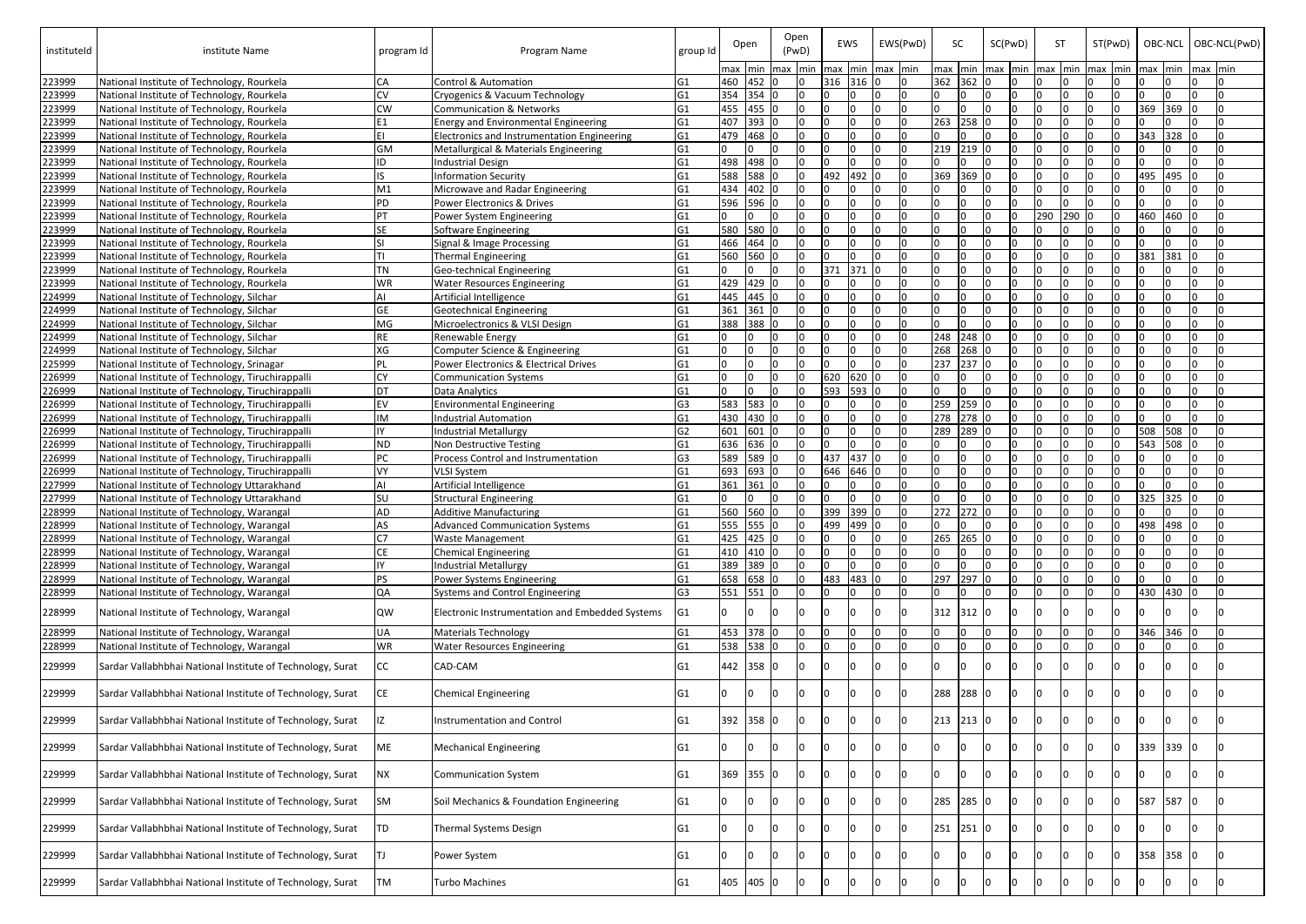| instituteld      | institute Name                                                                           | program Id | Program Name                                           | group Id                         |           | Open      |         | Open<br>(PwD) |              | EWS   |             | EWS(PwD) | SC              |         |    | SC(PwD) |     | <b>ST</b> |         | ST(PwD) |     | OBC-NCL |          | OBC-NCL(PwD) |
|------------------|------------------------------------------------------------------------------------------|------------|--------------------------------------------------------|----------------------------------|-----------|-----------|---------|---------------|--------------|-------|-------------|----------|-----------------|---------|----|---------|-----|-----------|---------|---------|-----|---------|----------|--------------|
|                  |                                                                                          |            |                                                        |                                  | max min   |           | max min |               | <b>I</b> max |       | min max min |          | max min max min |         |    |         | max |           | min max | lmin    | max | min     | max Imin |              |
| 223999           | National Institute of Technology, Rourkela                                               | CA         | Control & Automation                                   | G <sub>1</sub>                   |           | 460 452 0 |         | IO.           | 316          | 316 0 |             | IO.      | 362 362         |         | In |         |     |           |         |         |     |         |          |              |
| 223999           | National Institute of Technology, Rourkela                                               | CV         | Cryogenics & Vacuum Technology                         | G <sub>1</sub>                   | 354       | $354$ 0   |         | n.            |              |       |             |          |                 |         |    |         |     |           |         |         |     |         |          |              |
| 223999           | National Institute of Technology, Rourkela                                               | CW         | <b>Communication &amp; Networks</b>                    | G <sub>1</sub>                   | 455       | 455 0     |         | n.            |              |       |             |          |                 |         |    |         |     |           |         |         | 369 | 369     |          |              |
| 223999           | National Institute of Technology, Rourkela                                               |            | <b>Energy and Environmental Engineering</b>            | G <sub>1</sub>                   | 407       | 393 0     |         |               |              |       |             |          | 263             | 258     |    |         |     |           |         |         |     |         |          |              |
| 223999           | National Institute of Technology, Rourkela                                               | lΕΙ        | Electronics and Instrumentation Engineering            | G <sub>1</sub>                   | 479       | 468       |         |               |              |       |             |          |                 |         |    |         |     |           |         |         | 343 | 328     |          |              |
| 223999           | National Institute of Technology, Rourkela                                               | GM         | Metallurgical & Materials Engineering                  | G <sub>1</sub>                   | 498       | 498 0     |         |               |              |       |             |          | 219             | 219     |    |         |     |           |         |         |     |         |          |              |
| 223999           | National Institute of Technology, Rourkela                                               | ID         | <b>Industrial Design</b>                               | G <sub>1</sub>                   | 588       | 588       |         |               | 492          | 492   |             |          |                 |         |    |         |     |           |         |         |     |         |          |              |
| 223999           | National Institute of Technology, Rourkela                                               |            | <b>Information Security</b>                            | G <sub>1</sub>                   | 434       | 402 0     |         |               |              |       |             |          | 369             | 369     |    |         |     |           |         |         | 495 | 495     |          |              |
| 223999<br>223999 | National Institute of Technology, Rourkela                                               | M1<br>PD   | Microwave and Radar Engineering                        | G <sub>1</sub><br>G <sub>1</sub> | 596       | 596 0     |         |               |              |       |             |          |                 |         |    |         |     |           |         |         |     |         |          |              |
| 223999           | National Institute of Technology, Rourkela<br>National Institute of Technology, Rourkela | PT.        | Power Electronics & Drives<br>Power System Engineering | G <sub>1</sub>                   |           |           |         |               |              |       |             |          |                 |         |    |         | 290 | 290       |         |         | 460 | 460     |          |              |
| 223999           | National Institute of Technology, Rourkela                                               | SE.        | Software Engineering                                   | G <sub>1</sub>                   | 580       | 580       |         |               |              |       |             |          |                 |         |    |         |     |           |         |         |     |         |          |              |
| 223999           | National Institute of Technology, Rourkela                                               |            | Signal & Image Processing                              | G <sub>1</sub>                   | 466       | 464 0     |         |               |              |       |             |          |                 |         |    |         |     |           |         |         |     |         |          |              |
| 223999           | National Institute of Technology, Rourkela                                               |            | <b>Thermal Engineering</b>                             | G1                               | 560       | 560       |         |               |              |       |             |          |                 |         |    |         |     |           |         |         | 381 | 381     |          |              |
| 223999           | National Institute of Technology, Rourkela                                               | <b>TN</b>  | Geo-technical Engineering                              | G <sub>1</sub>                   |           |           |         |               | 371          | 371   |             |          |                 |         |    |         |     |           |         |         |     |         |          |              |
| 223999           | National Institute of Technology, Rourkela                                               | WR         | <b>Water Resources Engineering</b>                     | G <sub>1</sub>                   | 429       | 429       |         |               |              |       |             |          |                 |         |    |         |     |           |         |         |     |         |          |              |
| 224999           | National Institute of Technology, Silchar                                                |            | Artificial Intelligence                                | G <sub>1</sub>                   | 445       | 445 0     |         |               |              |       |             |          |                 |         |    |         |     |           |         |         |     |         |          |              |
| 224999           | National Institute of Technology, Silchar                                                | GE         | <b>Geotechnical Engineering</b>                        | G <sub>1</sub>                   | 361       | 361       |         |               |              |       |             |          |                 |         |    |         |     |           |         |         |     |         |          |              |
| 224999           | National Institute of Technology, Silchar                                                | MG         | Microelectronics & VLSI Design                         | G <sub>1</sub>                   | 388       | 388 0     |         |               |              |       |             |          |                 |         |    |         |     |           |         |         |     |         |          |              |
| 224999           | National Institute of Technology, Silchar                                                | <b>RE</b>  | Renewable Energy                                       | G <sub>1</sub>                   |           |           |         |               |              |       |             |          | 248             | 248     |    |         |     |           |         |         |     |         |          |              |
| 224999           | National Institute of Technology, Silchar                                                | XG         | Computer Science & Engineering                         | G1                               |           |           |         |               |              |       |             |          | 268             | $268$ 0 |    |         |     |           |         |         |     |         |          |              |
| 225999           | National Institute of Technology, Srinagar                                               | <b>PL</b>  | Power Electronics & Electrical Drives                  | G <sub>1</sub>                   |           |           |         |               |              |       |             |          | 237             | 237     |    |         |     |           |         |         |     |         |          |              |
| 226999           | National Institute of Technology, Tiruchirappalli                                        | <b>CY</b>  | <b>Communication Systems</b>                           | G <sub>1</sub>                   |           |           |         |               | 620          | 620 0 |             |          |                 |         |    |         |     |           |         |         |     |         |          |              |
| 226999           | National Institute of Technology, Tiruchirappalli                                        | <b>DT</b>  | Data Analytics                                         | G <sub>1</sub>                   |           |           |         | $\Omega$      | 593          | 593   |             |          |                 |         |    |         |     |           |         |         |     |         |          |              |
| 226999           | National Institute of Technology, Tiruchirappalli                                        | <b>EV</b>  | <b>Environmental Engineering</b>                       | G <sub>3</sub>                   | 583       | 583       |         | In.           |              |       |             |          | 259             | 259     |    |         |     |           |         |         |     |         |          |              |
| 226999           | National Institute of Technology, Tiruchirappalli                                        | ΙM         | <b>Industrial Automation</b>                           | G <sub>1</sub>                   | 430       | 430       |         | n.            |              |       |             |          | 278             | 278     |    |         |     |           |         |         |     |         |          |              |
| 226999           | National Institute of Technology, Tiruchirappalli                                        | IY         | <b>Industrial Metallurgy</b>                           | G <sub>2</sub>                   | 601       | 601       |         | n.            |              |       |             |          | 289             | 289     |    |         |     |           |         |         | 508 | 508     |          |              |
| 226999           | National Institute of Technology, Tiruchirappalli                                        | <b>ND</b>  | Non Destructive Testing                                | G <sub>1</sub>                   | 636       | 636 0     |         |               |              |       |             |          |                 |         |    |         |     |           |         |         | 543 | 508     |          |              |
| 226999           | National Institute of Technology, Tiruchirappalli                                        | PC         | <b>Process Control and Instrumentation</b>             | G <sub>3</sub>                   | 589       | 589 0     |         |               | 437          | 437   |             |          |                 |         |    |         |     |           |         |         |     |         |          |              |
| 226999           | National Institute of Technology, Tiruchirappalli                                        | VY         | <b>VLSI System</b>                                     | G <sub>1</sub>                   | 693       | 693 0     |         |               | 646          | 646   |             |          |                 |         |    |         |     |           |         |         |     |         |          |              |
| 227999           | National Institute of Technology Uttarakhand                                             |            | Artificial Intelligence                                | G <sub>1</sub>                   | 361       | 361       |         |               |              |       |             |          |                 |         |    |         |     |           |         |         |     |         |          |              |
| 227999           | National Institute of Technology Uttarakhand                                             | SU         | <b>Structural Engineering</b>                          | G <sub>1</sub>                   |           |           |         |               |              |       |             |          |                 |         |    |         |     |           |         |         | 325 | 325     |          |              |
| 228999           | National Institute of Technology, Warangal                                               | <b>AD</b>  | <b>Additive Manufacturing</b>                          | G1                               | 560       | 560       |         |               | 399          | 399   |             |          | 272             | 272     |    |         |     |           |         |         |     |         |          |              |
| 228999           | National Institute of Technology, Warangal                                               | AS         | <b>Advanced Communication Systems</b>                  | G <sub>1</sub>                   | 555       | 555 0     |         |               | 499          | 499   |             |          |                 |         |    |         |     |           |         |         | 498 | 498     |          |              |
| 228999           | National Institute of Technology, Warangal                                               | C7         | <b>Waste Management</b>                                | G <sub>1</sub>                   | 425       | $425$ 0   |         |               |              |       |             |          | 265             | 265     |    |         |     |           |         |         |     |         |          |              |
| 228999           | National Institute of Technology, Warangal                                               | <b>CE</b>  | <b>Chemical Engineering</b>                            | G <sub>1</sub>                   | 410       | 410 0     |         |               |              |       |             |          |                 |         |    |         |     |           |         |         |     |         |          |              |
| 228999           | National Institute of Technology, Warangal                                               | IY         | <b>Industrial Metallurgy</b>                           | G <sub>1</sub>                   | 389       | 389 0     |         | n.            |              |       |             |          |                 |         |    |         |     |           |         |         |     |         |          |              |
| 228999           | National Institute of Technology, Warangal                                               | PS         | Power Systems Engineering                              | G <sub>1</sub>                   | 658       | 658 0     |         | n.            | 483          | 483   |             |          | 297             | 297     |    |         |     |           |         |         |     |         |          |              |
| 228999           | National Institute of Technology, Warangal                                               | QA         | <b>Systems and Control Engineering</b>                 | G <sub>3</sub>                   | 551       | $551$ 0   |         | $\cap$        |              |       |             |          |                 |         |    |         |     |           |         |         | 430 | 430     | In.      | I∩           |
| 228999           | National Institute of Technology, Warangal                                               | <b>QW</b>  | Electronic Instrumentation and Embedded Systems        | G <sub>1</sub>                   |           |           |         |               |              |       |             |          | 312             | 312     |    |         |     |           |         |         |     |         |          |              |
| 228999           | National Institute of Technology, Warangal                                               | <b>UA</b>  | <b>Materials Technology</b>                            | G <sub>1</sub>                   | 453 378 0 |           |         |               |              |       |             |          |                 |         |    |         |     |           |         |         | 346 | 346     |          |              |
| 228999           | National Institute of Technology, Warangal                                               | <b>WR</b>  | <b>Water Resources Engineering</b>                     | G <sub>1</sub>                   | 538       | 538 0     |         |               |              |       |             |          |                 | U       |    |         |     |           |         |         |     |         |          |              |
| 229999           | Sardar Vallabhbhai National Institute of Technology, Surat                               | <b>CC</b>  | CAD-CAM                                                | G1                               | 442       | 358 0     |         |               |              |       |             |          |                 |         |    |         |     |           |         |         |     |         |          |              |
| 229999           | Sardar Vallabhbhai National Institute of Technology, Surat                               | CE.        | <b>Chemical Engineering</b>                            | G1                               |           |           |         |               |              |       |             |          | 288             | 288     |    |         |     |           |         |         |     |         |          |              |
| 229999           | Sardar Vallabhbhai National Institute of Technology, Surat                               |            | Instrumentation and Control                            | G1                               | 392       | 358 0     |         |               |              |       |             |          | 213             | $213$ 0 |    |         |     |           |         |         |     |         |          |              |
| 229999           | Sardar Vallabhbhai National Institute of Technology, Surat                               | ME         | <b>Mechanical Engineering</b>                          | G1                               |           |           |         |               |              |       |             |          |                 |         |    |         |     |           |         |         | 339 | 339     | IО.      |              |
| 229999           | Sardar Vallabhbhai National Institute of Technology, Surat                               | <b>NX</b>  | <b>Communication System</b>                            | G1                               | 369       | 355       |         |               |              |       |             |          |                 |         |    |         |     |           |         |         |     |         |          |              |
| 229999           | Sardar Vallabhbhai National Institute of Technology, Surat                               | <b>SM</b>  | Soil Mechanics & Foundation Engineering                | G1                               |           |           |         |               |              |       |             |          | 285             | 285     |    |         |     |           |         |         | 587 | 587     |          |              |
| 229999           | Sardar Vallabhbhai National Institute of Technology, Surat                               | TD         | <b>Thermal Systems Design</b>                          | G1                               |           |           |         |               |              |       |             |          | 251             | 251     |    |         |     |           |         |         |     |         |          |              |
| 229999           | Sardar Vallabhbhai National Institute of Technology, Surat                               |            | Power System                                           | G1                               |           |           |         |               |              |       |             |          |                 |         |    |         |     |           |         |         | 358 | 358     |          |              |
| 229999           | Sardar Vallabhbhai National Institute of Technology, Surat                               | TM         | <b>Turbo Machines</b>                                  | G1                               | 405       | 405       |         |               |              |       |             |          |                 |         |    |         |     |           |         |         |     |         |          |              |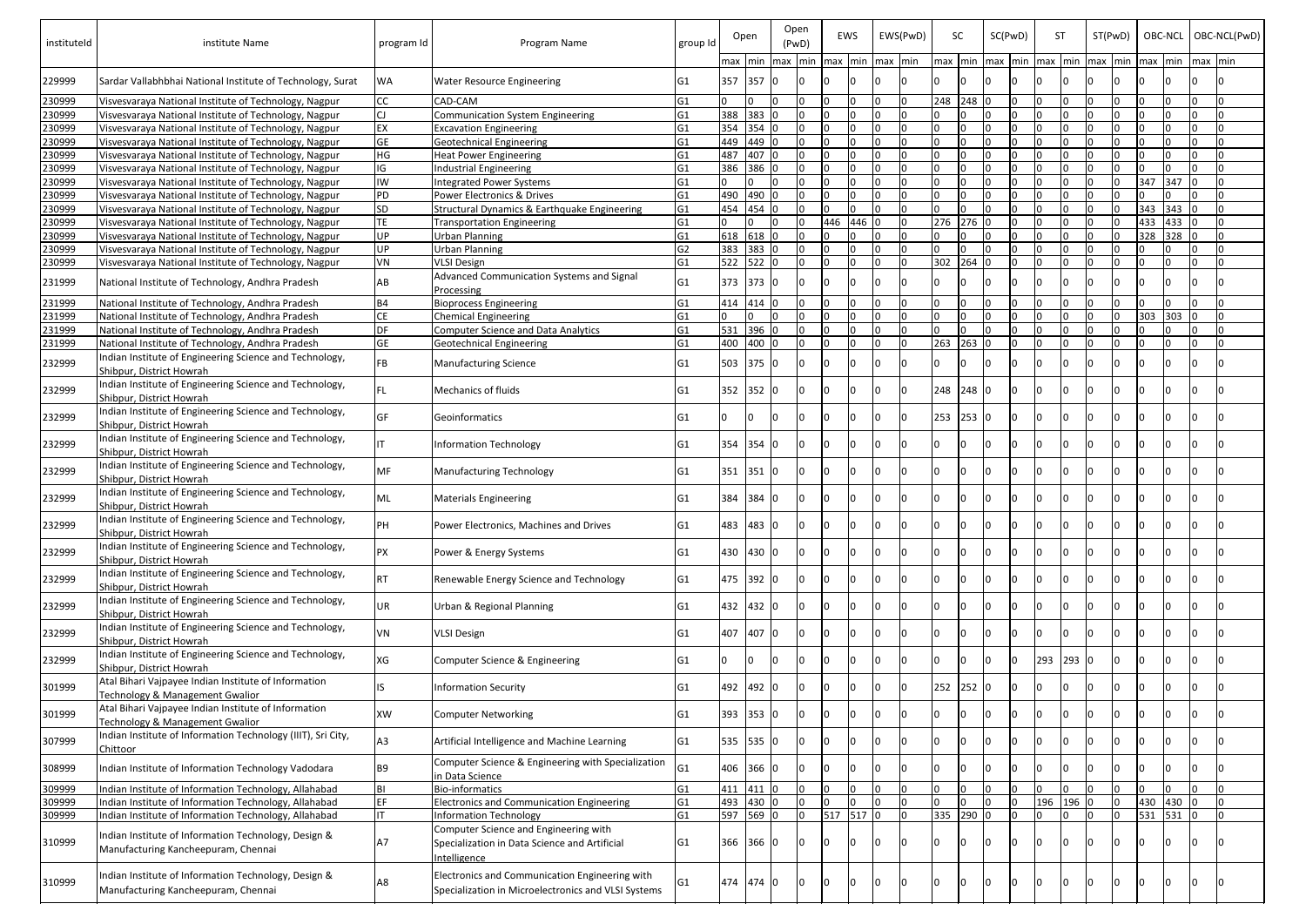| instituteId      | institute Name                                                                                                 | program Id      | Program Name                                                                                          | group Id                         |           | Open               | Open<br>(PwD) |                                 | EWS       |    | EWS(PwD) | SC        |         | SC(PwD) |                                                  | <b>ST</b> | ST(PwD) |     | OBC-NCL |         | OBC-NCL(PwD) |
|------------------|----------------------------------------------------------------------------------------------------------------|-----------------|-------------------------------------------------------------------------------------------------------|----------------------------------|-----------|--------------------|---------------|---------------------------------|-----------|----|----------|-----------|---------|---------|--------------------------------------------------|-----------|---------|-----|---------|---------|--------------|
| 229999           | Sardar Vallabhbhai National Institute of Technology, Surat                                                     | lwa.            | <b>Water Resource Engineering</b>                                                                     | G1                               | 357 357 0 |                    |               | max min max min max min max min |           |    |          |           |         |         | max  min  max  min  max  min  max  min  max  min |           |         |     |         | max min |              |
|                  |                                                                                                                |                 |                                                                                                       |                                  |           |                    |               |                                 |           |    |          |           |         |         |                                                  |           |         |     |         |         |              |
| 230999           | Visvesvaraya National Institute of Technology, Nagpur                                                          | CC.             | CAD-CAM                                                                                               | G <sub>1</sub>                   |           |                    |               |                                 |           |    |          | 248 248   |         |         |                                                  |           |         |     |         |         |              |
| 230999           | Visvesvaraya National Institute of Technology, Nagpur                                                          |                 | <b>Communication System Engineering</b>                                                               | G1                               |           | 388 383            |               |                                 |           |    |          |           | I∩      |         |                                                  |           |         |     |         |         |              |
| 230999           | Visvesvaraya National Institute of Technology, Nagpur                                                          | EX<br><b>GE</b> | <b>Excavation Engineering</b>                                                                         | G <sub>1</sub>                   |           | 354 354 0          |               |                                 |           |    |          |           |         |         |                                                  |           |         |     |         |         |              |
| 230999<br>230999 | Visvesvaraya National Institute of Technology, Nagpur<br>Visvesvaraya National Institute of Technology, Nagpur | HG              | <b>Geotechnical Engineering</b><br><b>Heat Power Engineering</b>                                      | G <sub>1</sub><br>G <sub>1</sub> | 487       | 449 449 0<br>407 0 |               |                                 |           |    |          |           |         |         |                                                  |           |         |     |         |         |              |
| 230999           | Visvesvaraya National Institute of Technology, Nagpur                                                          | IG              | <b>Industrial Engineering</b>                                                                         | G <sub>1</sub>                   |           | 386 386 0          |               |                                 |           |    |          |           |         |         |                                                  |           |         |     |         |         |              |
| 230999           | Visvesvaraya National Institute of Technology, Nagpur                                                          | IW              | <b>Integrated Power Systems</b>                                                                       | G <sub>1</sub>                   |           |                    |               |                                 |           |    |          |           |         |         |                                                  |           |         | 347 | 347     |         |              |
| 230999           | Visvesvaraya National Institute of Technology, Nagpur                                                          | <b>PD</b>       | Power Electronics & Drives                                                                            | G <sub>1</sub>                   |           | 490 490 0          |               |                                 |           |    |          |           |         |         |                                                  |           |         |     |         |         |              |
| 230999           | Visvesvaraya National Institute of Technology, Nagpur                                                          | <b>SD</b>       | Structural Dynamics & Earthquake Engineering                                                          | G1                               |           | 454 454 0          |               |                                 |           |    |          |           |         |         |                                                  |           |         | 343 | 343     |         | In           |
| 230999           | Visvesvaraya National Institute of Technology, Nagpur                                                          | TE              | <b>Transportation Engineering</b>                                                                     | G1                               |           | I∩                 |               | 446                             | 446       |    |          | 276       | 276     |         |                                                  |           |         | 433 | 433     |         | I٥           |
| 230999           | Visvesvaraya National Institute of Technology, Nagpur                                                          | UP              | <b>Urban Planning</b>                                                                                 | G <sub>1</sub>                   |           | 618 618 0          |               |                                 |           |    |          |           |         |         |                                                  |           |         | 328 | 328     |         | I٥           |
| 230999           | Visvesvaraya National Institute of Technology, Nagpur                                                          | UP              | <b>Urban Planning</b>                                                                                 | G <sub>2</sub>                   |           | 383 383 0          |               |                                 |           |    |          |           | I∩      |         |                                                  |           |         |     |         |         | In           |
| 230999           | Visvesvaraya National Institute of Technology, Nagpur                                                          | VN              | <b>VLSI Design</b>                                                                                    | G1                               |           | 522 522 0          |               |                                 |           |    |          | 302       | 264     |         |                                                  |           |         |     |         |         |              |
| 231999           | National Institute of Technology, Andhra Pradesh                                                               | AB              | Advanced Communication Systems and Signal                                                             | G1                               |           | 373 373 0          |               |                                 |           |    |          |           |         |         |                                                  |           |         |     |         |         |              |
|                  |                                                                                                                |                 | Processing                                                                                            |                                  |           |                    |               |                                 |           |    |          |           |         |         |                                                  |           |         |     |         |         |              |
| 231999           | National Institute of Technology, Andhra Pradesh                                                               | <b>B4</b>       | <b>Bioprocess Engineering</b>                                                                         | G <sub>1</sub>                   |           | 414 414 0          |               |                                 |           |    |          |           | I∩      |         |                                                  |           |         |     |         |         |              |
| 231999           | National Institute of Technology, Andhra Pradesh                                                               | CE.             | <b>Chemical Engineering</b>                                                                           | G <sub>1</sub>                   |           | In.                |               |                                 |           |    |          |           | I∩      |         |                                                  |           |         | 303 | 303     |         | In           |
| 231999           | National Institute of Technology, Andhra Pradesh                                                               | DF              | <b>Computer Science and Data Analytics</b>                                                            | G <sub>1</sub>                   |           | 531 396 0          |               |                                 |           |    |          |           | I∩      |         |                                                  |           |         |     |         |         | I∩           |
| 231999           | National Institute of Technology, Andhra Pradesh                                                               | <b>GE</b>       | <b>Geotechnical Engineering</b>                                                                       | G <sub>1</sub>                   | 400 400 0 |                    |               |                                 |           |    |          | 263       | $263$ 0 |         |                                                  |           |         |     |         |         | I∩           |
| 232999           | Indian Institute of Engineering Science and Technology,<br>Shibpur, District Howrah                            | FB.             | <b>Manufacturing Science</b>                                                                          | G1                               | 503 375 0 |                    |               |                                 |           |    |          |           |         |         |                                                  |           |         |     |         |         |              |
| 232999           | Indian Institute of Engineering Science and Technology,<br>Shibpur, District Howrah                            | FL              | Mechanics of fluids                                                                                   | G1                               | 352 352 0 |                    |               |                                 |           |    |          | 248 248 0 |         |         |                                                  |           |         |     |         |         |              |
| 232999           | Indian Institute of Engineering Science and Technology,                                                        | GF              | Geoinformatics                                                                                        | G1                               |           |                    |               |                                 |           |    |          | 253 253 0 |         |         |                                                  |           |         |     |         |         |              |
| 232999           | Shibpur, District Howrah<br>Indian Institute of Engineering Science and Technology,                            |                 | Information Technology                                                                                | G1                               | 354 354   |                    |               |                                 |           |    |          |           | ıΩ      |         |                                                  |           |         |     |         |         |              |
| 232999           | Shibpur, District Howrah<br>Indian Institute of Engineering Science and Technology,                            | <b>MF</b>       | <b>Manufacturing Technology</b>                                                                       | G1                               | 351 351   |                    |               |                                 |           |    |          |           |         |         |                                                  |           |         |     |         |         |              |
|                  | Shibpur, District Howrah<br>Indian Institute of Engineering Science and Technology,                            |                 |                                                                                                       |                                  |           |                    |               |                                 |           |    |          |           |         |         |                                                  |           |         |     |         |         |              |
| 232999           | lShibpur. District Howrah<br>Indian Institute of Engineering Science and Technology,                           | ML              | <b>Materials Engineering</b>                                                                          | G1                               | 384 384   |                    |               |                                 |           |    |          |           |         |         |                                                  |           |         |     |         |         |              |
| 232999           | Shibpur, District Howrah                                                                                       | PН              | Power Electronics, Machines and Drives                                                                | G <sub>1</sub>                   |           | 483 483            |               |                                 |           |    |          |           |         |         |                                                  |           |         |     |         |         |              |
| 232999           | Indian Institute of Engineering Science and Technology,<br>Shibpur. District Howrah                            | PΧ              | Power & Energy Systems                                                                                | G1                               |           | 430 430 0          |               |                                 |           |    |          |           |         |         |                                                  |           |         |     |         |         |              |
| 232999           | Indian Institute of Engineering Science and Technology,<br>Shibpur, District Howrah                            | RT              | Renewable Energy Science and Technology                                                               | G1                               | 475 392 0 |                    |               |                                 |           |    |          |           | ıο      |         |                                                  |           |         |     |         |         |              |
| 232999           | Indian Institute of Engineering Science and Technology,<br>Shibpur, District Howrah                            | UR              | Urban & Regional Planning                                                                             | G1                               | 432 432 0 |                    |               |                                 |           |    |          |           | ıο      |         |                                                  |           |         |     |         |         |              |
| 232999           | Indian Institute of Engineering Science and Technology,<br>Shibpur, District Howrah                            | VN              | <b>VLSI Design</b>                                                                                    | G1                               | 407 407 0 |                    |               |                                 |           |    |          |           |         |         |                                                  |           |         |     |         |         |              |
| 232999           | Indian Institute of Engineering Science and Technology,<br>Shibpur, District Howrah                            | XG              | Computer Science & Engineering                                                                        | G1                               |           | I٥                 |               |                                 |           |    |          |           | I٥      |         | 293                                              | 293 0     |         |     |         |         |              |
| 301999           | Atal Bihari Vajpayee Indian Institute of Information<br><b>Technology &amp; Management Gwalior</b>             |                 | <b>Information Security</b>                                                                           | G1                               | 492 492 0 |                    |               |                                 |           |    |          | 252       | $252$ 0 |         |                                                  |           |         |     |         |         |              |
| 301999           | Atal Bihari Vajpayee Indian Institute of Information                                                           | <b>XW</b>       | <b>Computer Networking</b>                                                                            | G <sub>1</sub>                   | 393 353   |                    |               |                                 |           |    |          |           | ıΩ      |         |                                                  |           |         |     |         |         |              |
| 307999           | Technology & Management Gwalior<br>Indian Institute of Information Technology (IIIT), Sri City,                | А3              | Artificial Intelligence and Machine Learning                                                          | G1                               | 535 535   |                    |               |                                 |           |    |          |           |         |         |                                                  |           |         |     |         |         |              |
| 308999           | Chittoor<br>Indian Institute of Information Technology Vadodara                                                | B9              | Computer Science & Engineering with Specialization                                                    | G <sub>1</sub>                   |           | 406 366 0          |               |                                 |           |    |          |           |         |         |                                                  |           |         |     |         |         |              |
| 309999           | Indian Institute of Information Technology, Allahabad                                                          | <b>BI</b>       | in Data Science<br><b>Bio-informatics</b>                                                             | G <sub>1</sub>                   |           | 411 411 0          |               |                                 | I٥        | I٥ |          |           | I0.     |         |                                                  | I∩        |         |     |         |         |              |
| 309999           | Indian Institute of Information Technology, Allahabad                                                          | FF.             | <b>Electronics and Communication Engineering</b>                                                      | G1                               |           | 493 430 0          |               |                                 | I∩        | I٥ |          |           | In      |         | 196                                              | 196 0     |         | 430 | 430     |         | In.          |
| 309999           | Indian Institute of Information Technology, Allahabad                                                          |                 | <b>Information Technology</b>                                                                         | G <sub>1</sub>                   |           | 597 569 0          |               |                                 | 517 517 0 |    |          | 335 290 0 |         |         |                                                  |           |         | 531 | 531     |         | In.          |
|                  | Indian Institute of Information Technology, Design &                                                           |                 | Computer Science and Engineering with                                                                 |                                  |           |                    |               |                                 |           |    |          |           |         |         |                                                  |           |         |     |         |         |              |
| 310999           | Manufacturing Kancheepuram, Chennai                                                                            | <b>A7</b>       | Specialization in Data Science and Artificial<br>ntelligence                                          | G1                               | 366 366   |                    |               |                                 |           |    |          |           |         |         |                                                  |           |         |     |         |         |              |
|                  |                                                                                                                |                 |                                                                                                       |                                  |           |                    |               |                                 |           |    |          |           |         |         |                                                  |           |         |     |         |         |              |
| 310999           | Indian Institute of Information Technology, Design &<br>Manufacturing Kancheepuram, Chennai                    | А8              | Electronics and Communication Engineering with<br>Specialization in Microelectronics and VLSI Systems | G <sub>1</sub>                   | 474 474   |                    |               |                                 |           |    |          |           |         |         |                                                  |           |         |     |         |         |              |